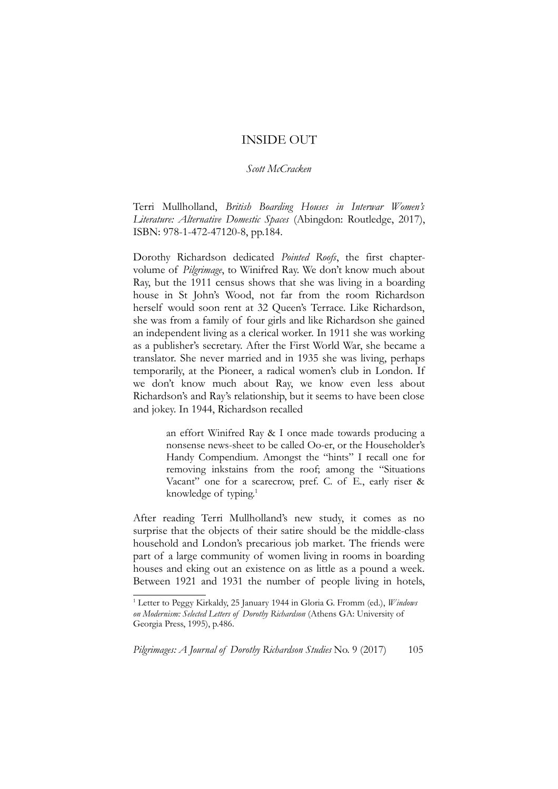## INSIDE OUT

## *Scott McCracken*

Terri Mullholland, *British Boarding Houses in Interwar Women's Literature: Alternative Domestic Spaces* (Abingdon: Routledge, 2017), ISBN: 978-1-472-47120-8, pp.184.

Dorothy Richardson dedicated *Pointed Roofs*, the first chaptervolume of *Pilgrimage*, to Winifred Ray. We don't know much about Ray, but the 1911 census shows that she was living in a boarding house in St John's Wood, not far from the room Richardson herself would soon rent at 32 Queen's Terrace. Like Richardson, she was from a family of four girls and like Richardson she gained an independent living as a clerical worker. In 1911 she was working as a publisher's secretary. After the First World War, she became a translator. She never married and in 1935 she was living, perhaps temporarily, at the Pioneer, a radical women's club in London. If we don't know much about Ray, we know even less about Richardson's and Ray's relationship, but it seems to have been close and jokey. In 1944, Richardson recalled

> an effort Winifred Ray & I once made towards producing a nonsense news-sheet to be called Oo-er, or the Householder's Handy Compendium. Amongst the "hints" I recall one for removing inkstains from the roof; among the "Situations Vacant" one for a scarecrow, pref. C. of E., early riser & knowledge of typing. $1$

After reading Terri Mullholland's new study, it comes as no surprise that the objects of their satire should be the middle-class household and London's precarious job market. The friends were part of a large community of women living in rooms in boarding houses and eking out an existence on as little as a pound a week. Between 1921 and 1931 the number of people living in hotels,

<span id="page-0-0"></span><sup>1</sup> Letter to Peggy Kirkaldy, 25 January 1944 in Gloria G. Fromm (ed.), *Windows on Modernism: Selected Letters of Dorothy Richardson* (Athens GA: University of Georgia Press, 1995), p.486.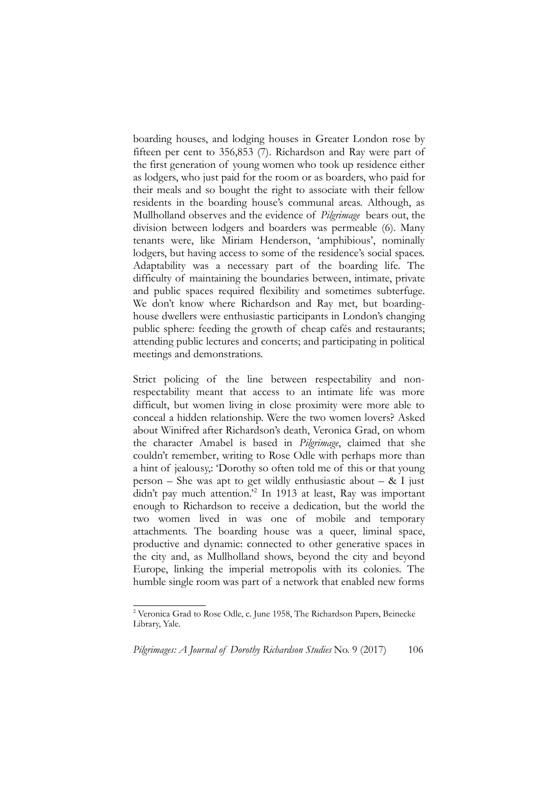boarding houses, and lodging houses in Greater London rose by fifteen per cent to 356,853 (7). Richardson and Ray were part of the first generation of young women who took up residence either as lodgers, who just paid for the room or as boarders, who paid for their meals and so bought the right to associate with their fellow residents in the boarding house's communal areas. Although, as Mullholland observes and the evidence of *Pilgrimage* bears out, the division between lodgers and boarders was permeable (6). Many tenants were, like Miriam Henderson, 'amphibious', nominally lodgers, but having access to some of the residence's social spaces. Adaptability was a necessary part of the boarding life. The difficulty of maintaining the boundaries between, intimate, private and public spaces required flexibility and sometimes subterfuge. We don't know where Richardson and Ray met, but boardinghouse dwellers were enthusiastic participants in London's changing public sphere: feeding the growth of cheap cafés and restaurants; attending public lectures and concerts; and participating in political meetings and demonstrations.

Strict policing of the line between respectability and nonrespectability meant that access to an intimate life was more difficult, but women living in close proximity were more able to conceal a hidden relationship. Were the two women lovers? Asked about Winifred after Richardson's death, Veronica Grad, on whom the character Amabel is based in *Pilgrimage*, claimed that she couldn't remember, writing to Rose Odle with perhaps more than a hint of jealousy,: 'Dorothy so often told me of this or that young person – She was apt to get wildly enthusiastic about –  $&$  I just didn't pay much attention.'[2](#page-1-0) In 1913 at least, Ray was important enough to Richardson to receive a dedication, but the world the two women lived in was one of mobile and temporary attachments. The boarding house was a queer, liminal space, productive and dynamic: connected to other generative spaces in the city and, as Mullholland shows, beyond the city and beyond Europe, linking the imperial metropolis with its colonies. The humble single room was part of a network that enabled new forms

<span id="page-1-0"></span><sup>&</sup>lt;sup>2</sup> Veronica Grad to Rose Odle, c. June 1958, The Richardson Papers, Beinecke Library, Yale.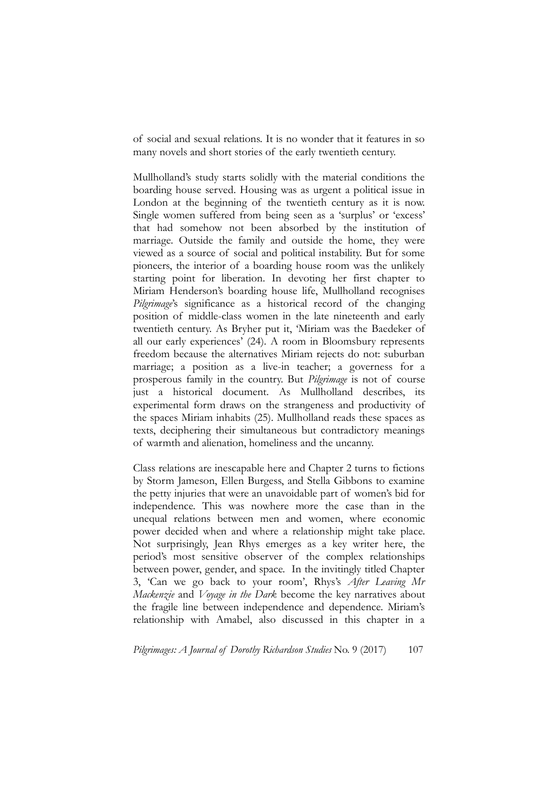of social and sexual relations. It is no wonder that it features in so many novels and short stories of the early twentieth century.

Mullholland's study starts solidly with the material conditions the boarding house served. Housing was as urgent a political issue in London at the beginning of the twentieth century as it is now. Single women suffered from being seen as a 'surplus' or 'excess' that had somehow not been absorbed by the institution of marriage. Outside the family and outside the home, they were viewed as a source of social and political instability. But for some pioneers, the interior of a boarding house room was the unlikely starting point for liberation. In devoting her first chapter to Miriam Henderson's boarding house life, Mullholland recognises *Pilgrimage*'s significance as a historical record of the changing position of middle-class women in the late nineteenth and early twentieth century. As Bryher put it, 'Miriam was the Baedeker of all our early experiences' (24). A room in Bloomsbury represents freedom because the alternatives Miriam rejects do not: suburban marriage; a position as a live-in teacher; a governess for a prosperous family in the country. But *Pilgrimage* is not of course just a historical document. As Mullholland describes, its experimental form draws on the strangeness and productivity of the spaces Miriam inhabits (25). Mullholland reads these spaces as texts, deciphering their simultaneous but contradictory meanings of warmth and alienation, homeliness and the uncanny.

Class relations are inescapable here and Chapter 2 turns to fictions by Storm Jameson, Ellen Burgess, and Stella Gibbons to examine the petty injuries that were an unavoidable part of women's bid for independence. This was nowhere more the case than in the unequal relations between men and women, where economic power decided when and where a relationship might take place. Not surprisingly, Jean Rhys emerges as a key writer here, the period's most sensitive observer of the complex relationships between power, gender, and space. In the invitingly titled Chapter 3, 'Can we go back to your room', Rhys's *After Leaving Mr Mackenzie* and *Voyage in the Dark* become the key narratives about the fragile line between independence and dependence. Miriam's relationship with Amabel, also discussed in this chapter in a